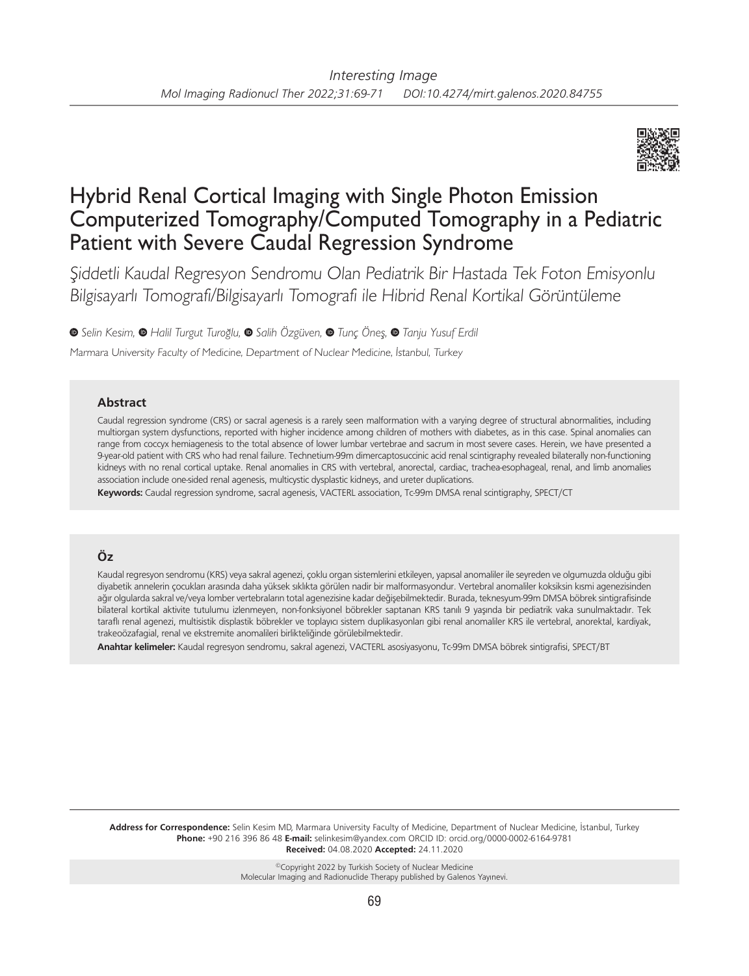

# Hybrid Renal Cortical Imaging with Single Photon Emission Computerized Tomography/Computed Tomography in a Pediatric Patient with Severe Caudal Regression Syndrome

Şiddetli Kaudal Regresyon Sendromu Olan Pediatrik Bir Hastada Tek Foton Emisyonlu Bilgisayarlı Tomografi/Bilgisayarlı Tomografi ile Hibrid Renal Kortikal Görüntüleme

**<sup>●</sup>**Selin Kesim, ● Halil Turgut Turoğlu, ● Salih Özgüven, ● Tunç Öneş, ● Tanju Yusuf Erdil

Marmara University Faculty of Medicine, Department of Nuclear Medicine, İstanbul, Turkey

## **Abstract**

Caudal regression syndrome (CRS) or sacral agenesis is a rarely seen malformation with a varying degree of structural abnormalities, including multiorgan system dysfunctions, reported with higher incidence among children of mothers with diabetes, as in this case. Spinal anomalies can range from coccyx hemiagenesis to the total absence of lower lumbar vertebrae and sacrum in most severe cases. Herein, we have presented a 9-year-old patient with CRS who had renal failure. Technetium-99m dimercaptosuccinic acid renal scintigraphy revealed bilaterally non-functioning kidneys with no renal cortical uptake. Renal anomalies in CRS with vertebral, anorectal, cardiac, trachea-esophageal, renal, and limb anomalies association include one-sided renal agenesis, multicystic dysplastic kidneys, and ureter duplications.

**Keywords:** Caudal regression syndrome, sacral agenesis, VACTERL association, Tc-99m DMSA renal scintigraphy, SPECT/CT

## **Öz**

Kaudal regresyon sendromu (KRS) veya sakral agenezi, çoklu organ sistemlerini etkileyen, yapısal anomaliler ile seyreden ve olgumuzda olduğu gibi diyabetik annelerin çocukları arasında daha yüksek sıklıkta görülen nadir bir malformasyondur. Vertebral anomaliler koksiksin kısmi agenezisinden ağır olgularda sakral ve/veya lomber vertebraların total agenezisine kadar değişebilmektedir. Burada, teknesyum-99m DMSA böbrek sintigrafisinde bilateral kortikal aktivite tutulumu izlenmeyen, non-fonksiyonel böbrekler saptanan KRS tanılı 9 yaşında bir pediatrik vaka sunulmaktadır. Tek taraflı renal agenezi, multisistik displastik böbrekler ve toplayıcı sistem duplikasyonları gibi renal anomaliler KRS ile vertebral, anorektal, kardiyak, trakeoözafagial, renal ve ekstremite anomalileri birlikteliğinde görülebilmektedir.

**Anahtar kelimeler:** Kaudal regresyon sendromu, sakral agenezi, VACTERL asosiyasyonu, Tc-99m DMSA böbrek sintigrafisi, SPECT/BT

**Address for Correspondence:** Selin Kesim MD, Marmara University Faculty of Medicine, Department of Nuclear Medicine, İstanbul, Turkey **Phone:** +90 216 396 86 48 **E-mail:** selinkesim@yandex.com ORCID ID: orcid.org/0000-0002-6164-9781 **Received:** 04.08.2020 **Accepted:** 24.11.2020

> ©Copyright 2022 by Turkish Society of Nuclear Medicine Molecular Imaging and Radionuclide Therapy published by Galenos Yayınevi.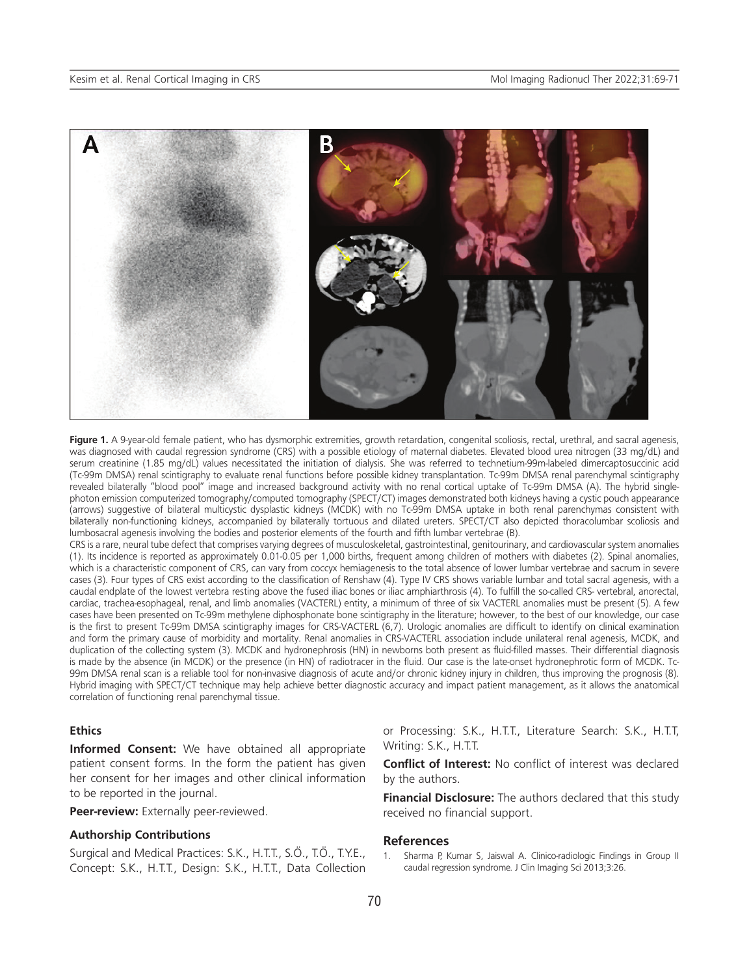

**Figure 1.** A 9-year-old female patient, who has dysmorphic extremities, growth retardation, congenital scoliosis, rectal, urethral, and sacral agenesis, was diagnosed with caudal regression syndrome (CRS) with a possible etiology of maternal diabetes. Elevated blood urea nitrogen (33 mg/dL) and serum creatinine (1.85 mg/dL) values necessitated the initiation of dialysis. She was referred to technetium-99m-labeled dimercaptosuccinic acid (Tc-99m DMSA) renal scintigraphy to evaluate renal functions before possible kidney transplantation. Tc-99m DMSA renal parenchymal scintigraphy revealed bilaterally "blood pool" image and increased background activity with no renal cortical uptake of Tc-99m DMSA (A). The hybrid singlephoton emission computerized tomography/computed tomography (SPECT/CT) images demonstrated both kidneys having a cystic pouch appearance (arrows) suggestive of bilateral multicystic dysplastic kidneys (MCDK) with no Tc-99m DMSA uptake in both renal parenchymas consistent with bilaterally non-functioning kidneys, accompanied by bilaterally tortuous and dilated ureters. SPECT/CT also depicted thoracolumbar scoliosis and lumbosacral agenesis involving the bodies and posterior elements of the fourth and fifth lumbar vertebrae (B).

CRS is a rare, neural tube defect that comprises varying degrees of musculoskeletal, gastrointestinal, genitourinary, and cardiovascular system anomalies (1). Its incidence is reported as approximately 0.01-0.05 per 1,000 births, frequent among children of mothers with diabetes (2). Spinal anomalies, which is a characteristic component of CRS, can vary from coccyx hemiagenesis to the total absence of lower lumbar vertebrae and sacrum in severe cases (3). Four types of CRS exist according to the classification of Renshaw (4). Type IV CRS shows variable lumbar and total sacral agenesis, with a caudal endplate of the lowest vertebra resting above the fused iliac bones or iliac amphiarthrosis (4). To fulfill the so-called CRS- vertebral, anorectal, cardiac, trachea-esophageal, renal, and limb anomalies (VACTERL) entity, a minimum of three of six VACTERL anomalies must be present (5). A few cases have been presented on Tc-99m methylene diphosphonate bone scintigraphy in the literature; however, to the best of our knowledge, our case is the first to present Tc-99m DMSA scintigraphy images for CRS-VACTERL (6,7). Urologic anomalies are difficult to identify on clinical examination and form the primary cause of morbidity and mortality. Renal anomalies in CRS-VACTERL association include unilateral renal agenesis, MCDK, and duplication of the collecting system (3). MCDK and hydronephrosis (HN) in newborns both present as fluid-filled masses. Their differential diagnosis is made by the absence (in MCDK) or the presence (in HN) of radiotracer in the fluid. Our case is the late-onset hydronephrotic form of MCDK. Tc-99m DMSA renal scan is a reliable tool for non-invasive diagnosis of acute and/or chronic kidney injury in children, thus improving the prognosis (8). Hybrid imaging with SPECT/CT technique may help achieve better diagnostic accuracy and impact patient management, as it allows the anatomical correlation of functioning renal parenchymal tissue.

## **Ethics**

**Informed Consent:** We have obtained all appropriate patient consent forms. In the form the patient has given her consent for her images and other clinical information to be reported in the journal.

#### **Peer-review:** Externally peer-reviewed.

#### **Authorship Contributions**

Surgical and Medical Practices: S.K., H.T.T., S.Ö., T.Ö., T.Y.E., Concept: S.K., H.T.T., Design: S.K., H.T.T., Data Collection or Processing: S.K., H.T.T., Literature Search: S.K., H.T.T, Writing: S.K., H.T.T.

**Conflict of Interest:** No conflict of interest was declared by the authors.

**Financial Disclosure:** The authors declared that this study received no financial support.

#### **References**

Sharma P, Kumar S, Jaiswal A. Clinico-radiologic Findings in Group II caudal regression syndrome. J Clin Imaging Sci 2013;3:26.